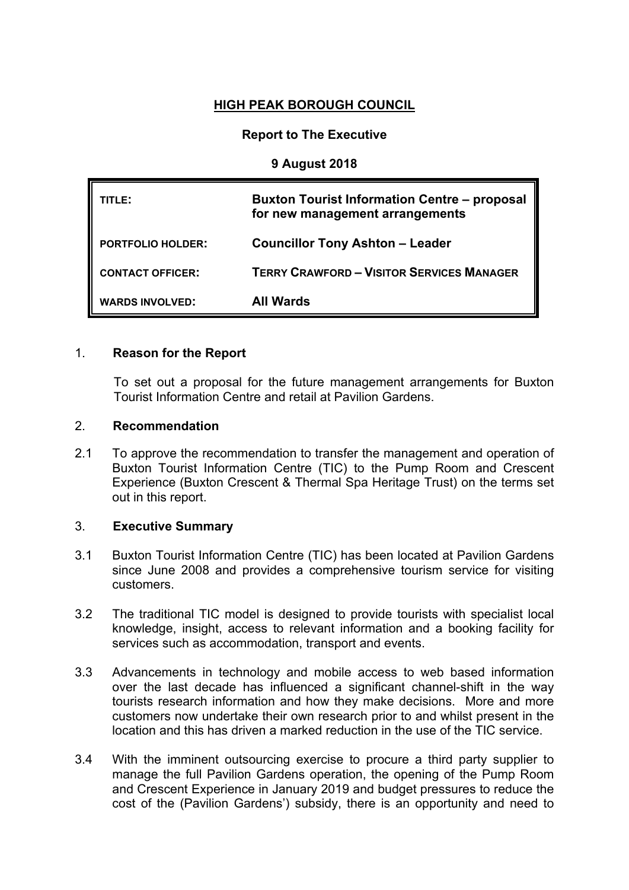# **HIGH PEAK BOROUGH COUNCIL**

# **Report to The Executive**

### **9 August 2018**

| TITLE: I                 | <b>Buxton Tourist Information Centre – proposal</b><br>for new management arrangements |
|--------------------------|----------------------------------------------------------------------------------------|
| <b>PORTFOLIO HOLDER:</b> | <b>Councillor Tony Ashton - Leader</b>                                                 |
| <b>CONTACT OFFICER:</b>  | <b>TERRY CRAWFORD - VISITOR SERVICES MANAGER</b>                                       |
| <b>WARDS INVOLVED:</b>   | All Wards                                                                              |

#### 1. **Reason for the Report**

To set out a proposal for the future management arrangements for Buxton Tourist Information Centre and retail at Pavilion Gardens.

#### 2. **Recommendation**

2.1 To approve the recommendation to transfer the management and operation of Buxton Tourist Information Centre (TIC) to the Pump Room and Crescent Experience (Buxton Crescent & Thermal Spa Heritage Trust) on the terms set out in this report.

### 3. **Executive Summary**

- 3.1 Buxton Tourist Information Centre (TIC) has been located at Pavilion Gardens since June 2008 and provides a comprehensive tourism service for visiting customers.
- 3.2 The traditional TIC model is designed to provide tourists with specialist local knowledge, insight, access to relevant information and a booking facility for services such as accommodation, transport and events.
- 3.3 Advancements in technology and mobile access to web based information over the last decade has influenced a significant channel-shift in the way tourists research information and how they make decisions. More and more customers now undertake their own research prior to and whilst present in the location and this has driven a marked reduction in the use of the TIC service.
- 3.4 With the imminent outsourcing exercise to procure a third party supplier to manage the full Pavilion Gardens operation, the opening of the Pump Room and Crescent Experience in January 2019 and budget pressures to reduce the cost of the (Pavilion Gardens') subsidy, there is an opportunity and need to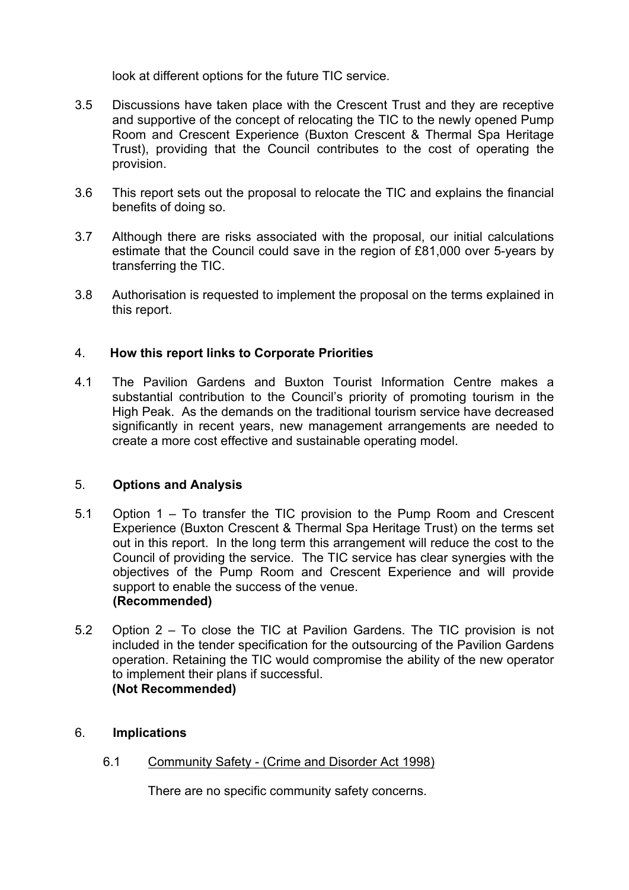look at different options for the future TIC service.

- 3.5 Discussions have taken place with the Crescent Trust and they are receptive and supportive of the concept of relocating the TIC to the newly opened Pump Room and Crescent Experience (Buxton Crescent & Thermal Spa Heritage Trust), providing that the Council contributes to the cost of operating the provision.
- 3.6 This report sets out the proposal to relocate the TIC and explains the financial benefits of doing so.
- 3.7 Although there are risks associated with the proposal, our initial calculations estimate that the Council could save in the region of £81,000 over 5-years by transferring the TIC.
- 3.8 Authorisation is requested to implement the proposal on the terms explained in this report.

# 4. **How this report links to Corporate Priorities**

4.1 The Pavilion Gardens and Buxton Tourist Information Centre makes a substantial contribution to the Council's priority of promoting tourism in the High Peak. As the demands on the traditional tourism service have decreased significantly in recent years, new management arrangements are needed to create a more cost effective and sustainable operating model.

### 5. **Options and Analysis**

- 5.1 Option 1 To transfer the TIC provision to the Pump Room and Crescent Experience (Buxton Crescent & Thermal Spa Heritage Trust) on the terms set out in this report. In the long term this arrangement will reduce the cost to the Council of providing the service. The TIC service has clear synergies with the objectives of the Pump Room and Crescent Experience and will provide support to enable the success of the venue. **(Recommended)**
- 5.2 Option 2 To close the TIC at Pavilion Gardens. The TIC provision is not included in the tender specification for the outsourcing of the Pavilion Gardens operation. Retaining the TIC would compromise the ability of the new operator to implement their plans if successful. **(Not Recommended)**

### 6. **Implications**

6.1 Community Safety - (Crime and Disorder Act 1998)

There are no specific community safety concerns.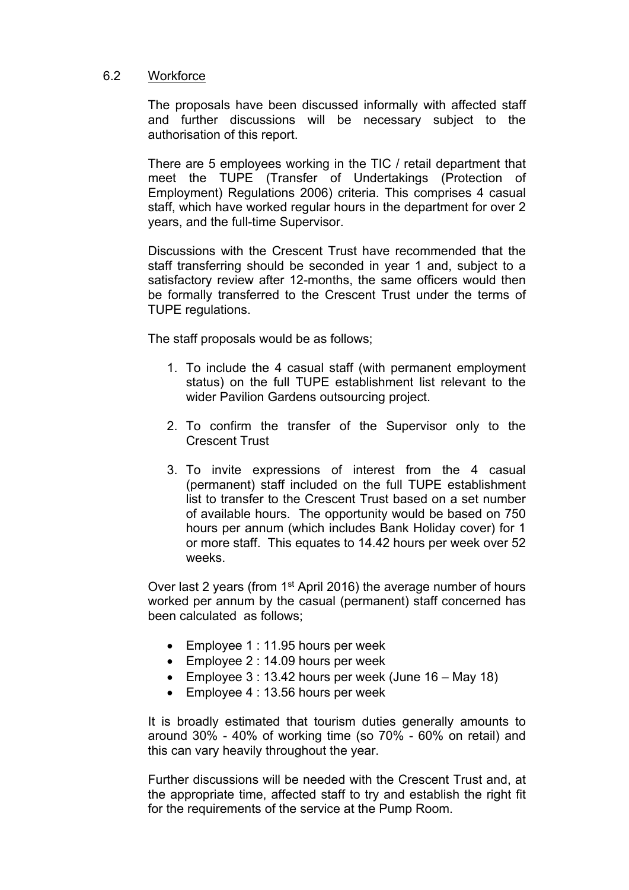### 6.2 Workforce

The proposals have been discussed informally with affected staff and further discussions will be necessary subject to the authorisation of this report.

There are 5 employees working in the TIC / retail department that meet the TUPE (Transfer of Undertakings (Protection of Employment) Regulations 2006) criteria. This comprises 4 casual staff, which have worked regular hours in the department for over 2 years, and the full-time Supervisor.

Discussions with the Crescent Trust have recommended that the staff transferring should be seconded in year 1 and, subject to a satisfactory review after 12-months, the same officers would then be formally transferred to the Crescent Trust under the terms of TUPE regulations.

The staff proposals would be as follows;

- 1. To include the 4 casual staff (with permanent employment status) on the full TUPE establishment list relevant to the wider Pavilion Gardens outsourcing project.
- 2. To confirm the transfer of the Supervisor only to the Crescent Trust
- 3. To invite expressions of interest from the 4 casual (permanent) staff included on the full TUPE establishment list to transfer to the Crescent Trust based on a set number of available hours. The opportunity would be based on 750 hours per annum (which includes Bank Holiday cover) for 1 or more staff. This equates to 14.42 hours per week over 52 weeks.

Over last 2 years (from 1<sup>st</sup> April 2016) the average number of hours worked per annum by the casual (permanent) staff concerned has been calculated as follows;

- Employee 1 : 11.95 hours per week
- Employee 2 : 14.09 hours per week
- Employee  $3:13.42$  hours per week (June  $16 \text{Mav }18$ )
- Employee 4 : 13.56 hours per week

It is broadly estimated that tourism duties generally amounts to around 30% - 40% of working time (so 70% - 60% on retail) and this can vary heavily throughout the year.

Further discussions will be needed with the Crescent Trust and, at the appropriate time, affected staff to try and establish the right fit for the requirements of the service at the Pump Room.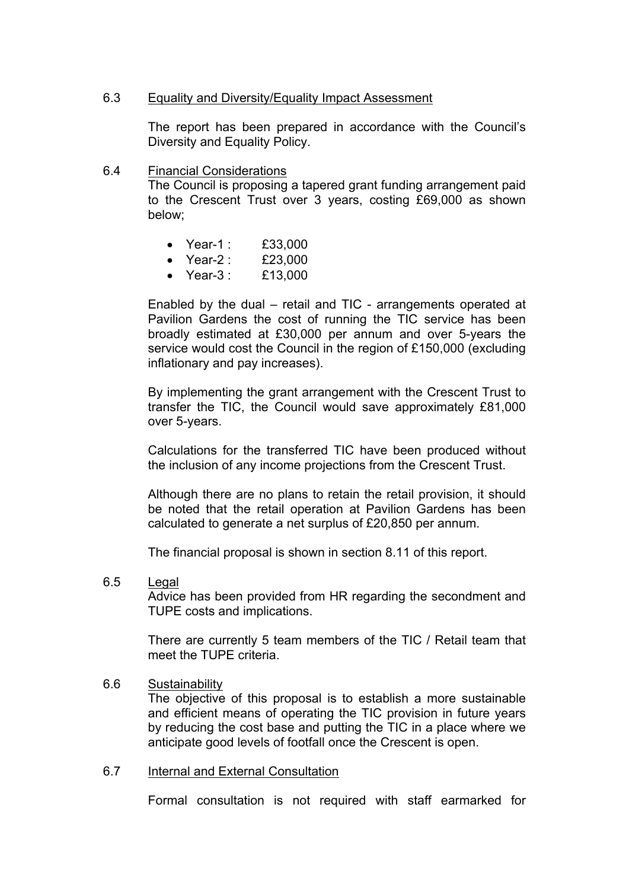#### 6.3 Equality and Diversity/Equality Impact Assessment

The report has been prepared in accordance with the Council's Diversity and Equality Policy.

6.4 Financial Considerations

The Council is proposing a tapered grant funding arrangement paid to the Crescent Trust over 3 years, costing £69,000 as shown below;

- Year-1 : £33,000
- Year-2 : £23,000
- Year-3 : £13,000

Enabled by the dual – retail and TIC - arrangements operated at Pavilion Gardens the cost of running the TIC service has been broadly estimated at £30,000 per annum and over 5-years the service would cost the Council in the region of £150,000 (excluding inflationary and pay increases).

By implementing the grant arrangement with the Crescent Trust to transfer the TIC, the Council would save approximately £81,000 over 5-years.

Calculations for the transferred TIC have been produced without the inclusion of any income projections from the Crescent Trust.

Although there are no plans to retain the retail provision, it should be noted that the retail operation at Pavilion Gardens has been calculated to generate a net surplus of £20,850 per annum.

The financial proposal is shown in section 8.11 of this report.

6.5 Legal

Advice has been provided from HR regarding the secondment and TUPE costs and implications.

There are currently 5 team members of the TIC / Retail team that meet the TUPE criteria.

#### 6.6 Sustainability

The objective of this proposal is to establish a more sustainable and efficient means of operating the TIC provision in future years by reducing the cost base and putting the TIC in a place where we anticipate good levels of footfall once the Crescent is open.

### 6.7 Internal and External Consultation

Formal consultation is not required with staff earmarked for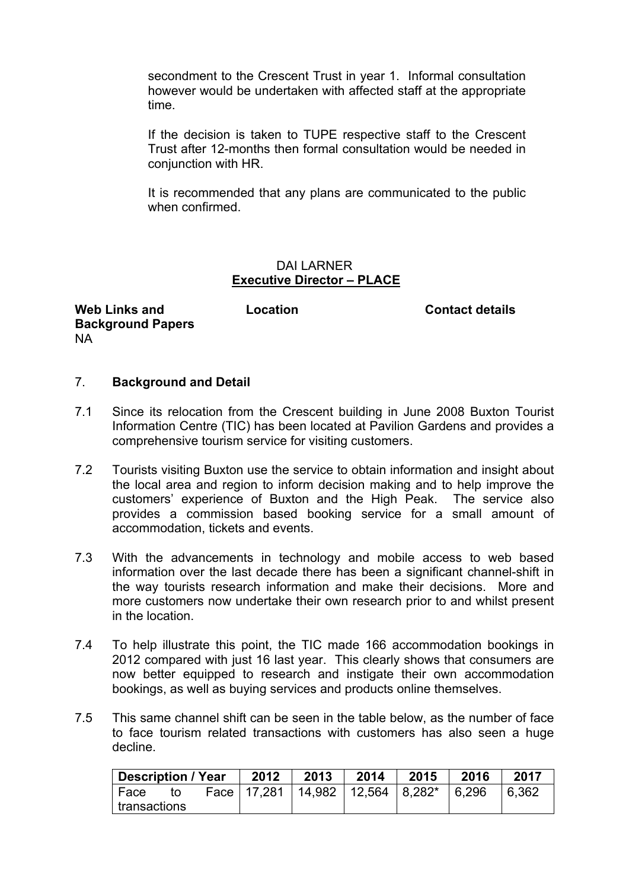secondment to the Crescent Trust in year 1. Informal consultation however would be undertaken with affected staff at the appropriate time.

If the decision is taken to TUPE respective staff to the Crescent Trust after 12-months then formal consultation would be needed in conjunction with HR.

It is recommended that any plans are communicated to the public when confirmed.

#### DAI LARNER **Executive Director – PLACE**

**Web Links and Background Papers** NA

**Location Contact details**

# 7. **Background and Detail**

- 7.1 Since its relocation from the Crescent building in June 2008 Buxton Tourist Information Centre (TIC) has been located at Pavilion Gardens and provides a comprehensive tourism service for visiting customers.
- 7.2 Tourists visiting Buxton use the service to obtain information and insight about the local area and region to inform decision making and to help improve the customers' experience of Buxton and the High Peak. The service also provides a commission based booking service for a small amount of accommodation, tickets and events.
- 7.3 With the advancements in technology and mobile access to web based information over the last decade there has been a significant channel-shift in the way tourists research information and make their decisions. More and more customers now undertake their own research prior to and whilst present in the location.
- 7.4 To help illustrate this point, the TIC made 166 accommodation bookings in 2012 compared with just 16 last year. This clearly shows that consumers are now better equipped to research and instigate their own accommodation bookings, as well as buying services and products online themselves.
- 7.5 This same channel shift can be seen in the table below, as the number of face to face tourism related transactions with customers has also seen a huge decline.

| Description / Year  |    |  | 2012 | 2013                                     | 2014 | 2015 | 2016  | 2017  |
|---------------------|----|--|------|------------------------------------------|------|------|-------|-------|
| ' Face              | to |  |      | Face   17,281   14,982   12,564   8,282* |      |      | 6.296 | 6.362 |
| $\mid$ transactions |    |  |      |                                          |      |      |       |       |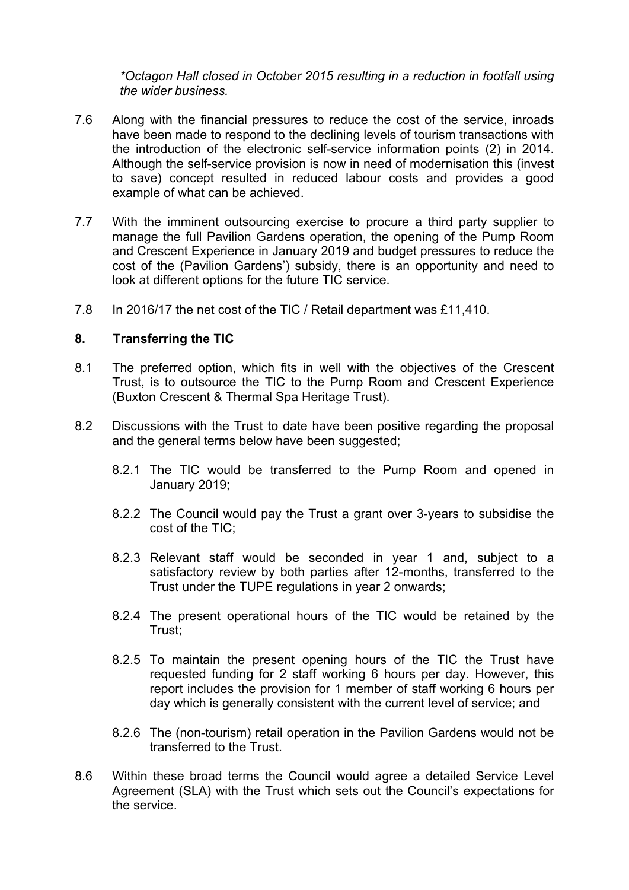*\*Octagon Hall closed in October 2015 resulting in a reduction in footfall using the wider business.*

- 7.6 Along with the financial pressures to reduce the cost of the service, inroads have been made to respond to the declining levels of tourism transactions with the introduction of the electronic self-service information points (2) in 2014. Although the self-service provision is now in need of modernisation this (invest to save) concept resulted in reduced labour costs and provides a good example of what can be achieved.
- 7.7 With the imminent outsourcing exercise to procure a third party supplier to manage the full Pavilion Gardens operation, the opening of the Pump Room and Crescent Experience in January 2019 and budget pressures to reduce the cost of the (Pavilion Gardens') subsidy, there is an opportunity and need to look at different options for the future TIC service.
- 7.8 In 2016/17 the net cost of the TIC / Retail department was £11,410.

#### **8. Transferring the TIC**

- 8.1 The preferred option, which fits in well with the objectives of the Crescent Trust, is to outsource the TIC to the Pump Room and Crescent Experience (Buxton Crescent & Thermal Spa Heritage Trust).
- 8.2 Discussions with the Trust to date have been positive regarding the proposal and the general terms below have been suggested;
	- 8.2.1 The TIC would be transferred to the Pump Room and opened in January 2019;
	- 8.2.2 The Council would pay the Trust a grant over 3-years to subsidise the cost of the TIC;
	- 8.2.3 Relevant staff would be seconded in year 1 and, subject to a satisfactory review by both parties after 12-months, transferred to the Trust under the TUPE regulations in year 2 onwards;
	- 8.2.4 The present operational hours of the TIC would be retained by the Trust;
	- 8.2.5 To maintain the present opening hours of the TIC the Trust have requested funding for 2 staff working 6 hours per day. However, this report includes the provision for 1 member of staff working 6 hours per day which is generally consistent with the current level of service; and
	- 8.2.6 The (non-tourism) retail operation in the Pavilion Gardens would not be transferred to the Trust.
- 8.6 Within these broad terms the Council would agree a detailed Service Level Agreement (SLA) with the Trust which sets out the Council's expectations for the service.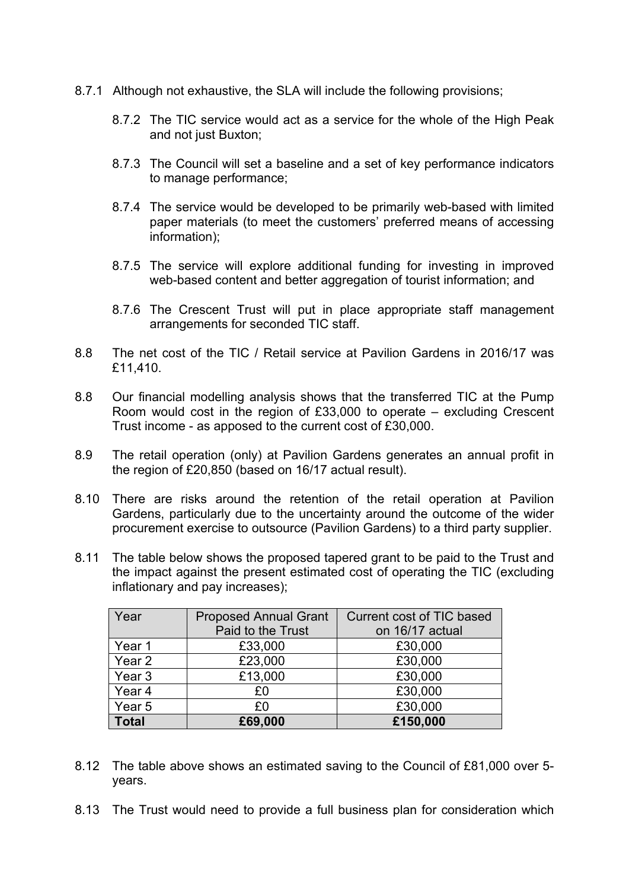- 8.7.1 Although not exhaustive, the SLA will include the following provisions;
	- 8.7.2 The TIC service would act as a service for the whole of the High Peak and not just Buxton;
	- 8.7.3 The Council will set a baseline and a set of key performance indicators to manage performance;
	- 8.7.4 The service would be developed to be primarily web-based with limited paper materials (to meet the customers' preferred means of accessing information);
	- 8.7.5 The service will explore additional funding for investing in improved web-based content and better aggregation of tourist information; and
	- 8.7.6 The Crescent Trust will put in place appropriate staff management arrangements for seconded TIC staff.
- 8.8 The net cost of the TIC / Retail service at Pavilion Gardens in 2016/17 was £11,410.
- 8.8 Our financial modelling analysis shows that the transferred TIC at the Pump Room would cost in the region of £33,000 to operate – excluding Crescent Trust income - as apposed to the current cost of £30,000.
- 8.9 The retail operation (only) at Pavilion Gardens generates an annual profit in the region of £20,850 (based on 16/17 actual result).
- 8.10 There are risks around the retention of the retail operation at Pavilion Gardens, particularly due to the uncertainty around the outcome of the wider procurement exercise to outsource (Pavilion Gardens) to a third party supplier.
- 8.11 The table below shows the proposed tapered grant to be paid to the Trust and the impact against the present estimated cost of operating the TIC (excluding inflationary and pay increases);

| Year              | <b>Proposed Annual Grant</b> | Current cost of TIC based |  |  |
|-------------------|------------------------------|---------------------------|--|--|
|                   | Paid to the Trust            | on 16/17 actual           |  |  |
| Year 1            | £33,000                      | £30,000                   |  |  |
| Year <sub>2</sub> | £23,000                      | £30,000                   |  |  |
| Year <sub>3</sub> | £13,000                      | £30,000                   |  |  |
| Year 4            | £0                           | £30,000                   |  |  |
| Year 5            | £0                           | £30,000                   |  |  |
| <b>Total</b>      | £69,000                      | £150,000                  |  |  |

- 8.12 The table above shows an estimated saving to the Council of £81,000 over 5 years.
- 8.13 The Trust would need to provide a full business plan for consideration which